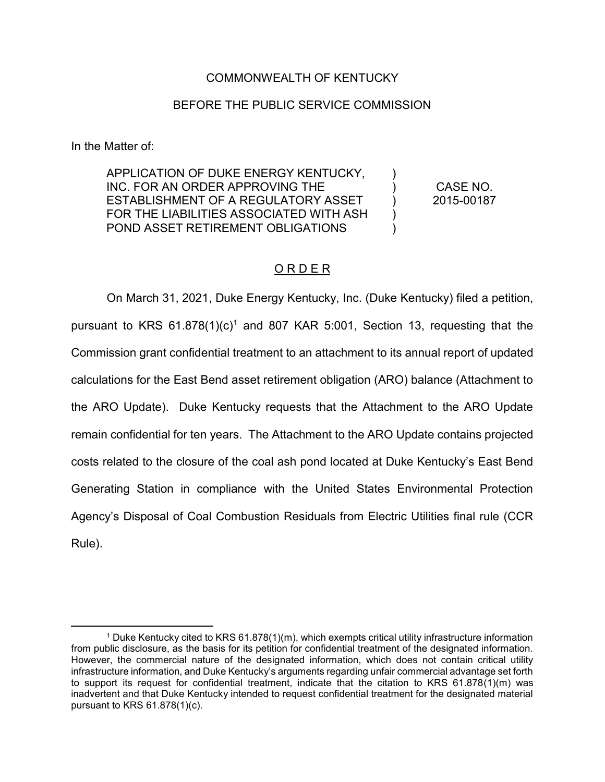## COMMONWEALTH OF KENTUCKY

## BEFORE THE PUBLIC SERVICE COMMISSION

In the Matter of:

APPLICATION OF DUKE ENERGY KENTUCKY, INC. FOR AN ORDER APPROVING THE ESTABLISHMENT OF A REGULATORY ASSET FOR THE LIABILITIES ASSOCIATED WITH ASH POND ASSET RETIREMENT OBLIGATIONS

CASE NO. 2015-00187

) ) ) ) )

## O R D E R

On March 31, 2021, Duke Energy Kentucky, Inc. (Duke Kentucky) filed a petition, pursuant to KRS  $61.878(1)(c)^1$  and 807 KAR 5:001, Section 13, requesting that the Commission grant confidential treatment to an attachment to its annual report of updated calculations for the East Bend asset retirement obligation (ARO) balance (Attachment to the ARO Update). Duke Kentucky requests that the Attachment to the ARO Update remain confidential for ten years. The Attachment to the ARO Update contains projected costs related to the closure of the coal ash pond located at Duke Kentucky's East Bend Generating Station in compliance with the United States Environmental Protection Agency's Disposal of Coal Combustion Residuals from Electric Utilities final rule (CCR Rule).

 <sup>1</sup> Duke Kentucky cited to KRS 61.878(1)(m), which exempts critical utility infrastructure information from public disclosure, as the basis for its petition for confidential treatment of the designated information. However, the commercial nature of the designated information, which does not contain critical utility infrastructure information, and Duke Kentucky's arguments regarding unfair commercial advantage set forth to support its request for confidential treatment, indicate that the citation to KRS 61.878(1)(m) was inadvertent and that Duke Kentucky intended to request confidential treatment for the designated material pursuant to KRS 61.878(1)(c).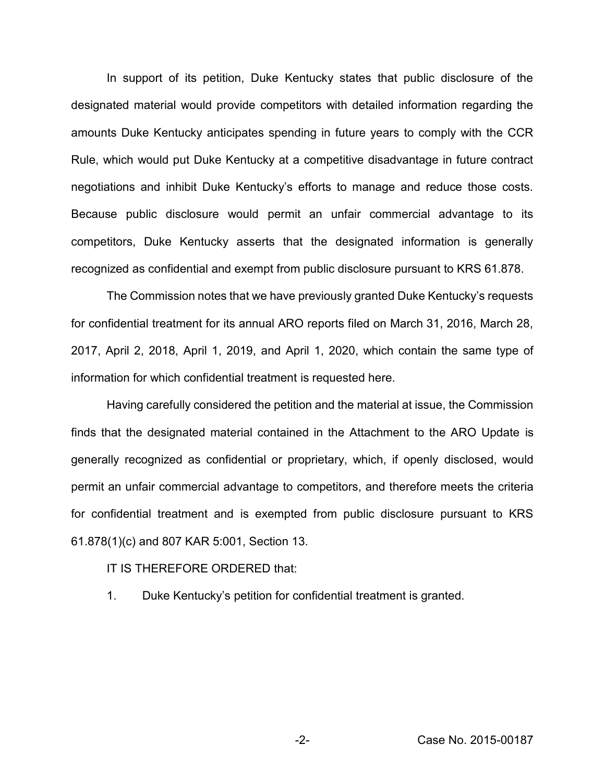In support of its petition, Duke Kentucky states that public disclosure of the designated material would provide competitors with detailed information regarding the amounts Duke Kentucky anticipates spending in future years to comply with the CCR Rule, which would put Duke Kentucky at a competitive disadvantage in future contract negotiations and inhibit Duke Kentucky's efforts to manage and reduce those costs. Because public disclosure would permit an unfair commercial advantage to its competitors, Duke Kentucky asserts that the designated information is generally recognized as confidential and exempt from public disclosure pursuant to KRS 61.878.

The Commission notes that we have previously granted Duke Kentucky's requests for confidential treatment for its annual ARO reports filed on March 31, 2016, March 28, 2017, April 2, 2018, April 1, 2019, and April 1, 2020, which contain the same type of information for which confidential treatment is requested here.

Having carefully considered the petition and the material at issue, the Commission finds that the designated material contained in the Attachment to the ARO Update is generally recognized as confidential or proprietary, which, if openly disclosed, would permit an unfair commercial advantage to competitors, and therefore meets the criteria for confidential treatment and is exempted from public disclosure pursuant to KRS 61.878(1)(c) and 807 KAR 5:001, Section 13.

## IT IS THEREFORE ORDERED that:

1. Duke Kentucky's petition for confidential treatment is granted.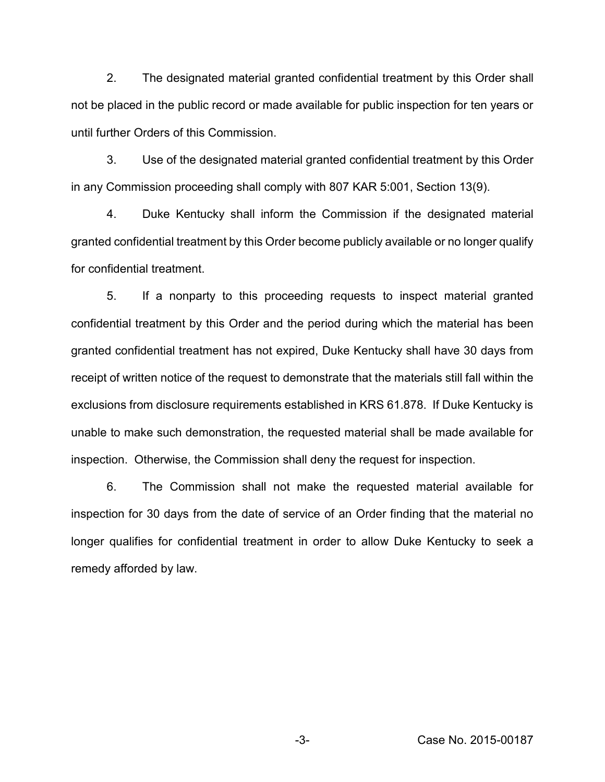2. The designated material granted confidential treatment by this Order shall not be placed in the public record or made available for public inspection for ten years or until further Orders of this Commission.

3. Use of the designated material granted confidential treatment by this Order in any Commission proceeding shall comply with 807 KAR 5:001, Section 13(9).

4. Duke Kentucky shall inform the Commission if the designated material granted confidential treatment by this Order become publicly available or no longer qualify for confidential treatment.

5. If a nonparty to this proceeding requests to inspect material granted confidential treatment by this Order and the period during which the material has been granted confidential treatment has not expired, Duke Kentucky shall have 30 days from receipt of written notice of the request to demonstrate that the materials still fall within the exclusions from disclosure requirements established in KRS 61.878. If Duke Kentucky is unable to make such demonstration, the requested material shall be made available for inspection. Otherwise, the Commission shall deny the request for inspection.

6. The Commission shall not make the requested material available for inspection for 30 days from the date of service of an Order finding that the material no longer qualifies for confidential treatment in order to allow Duke Kentucky to seek a remedy afforded by law.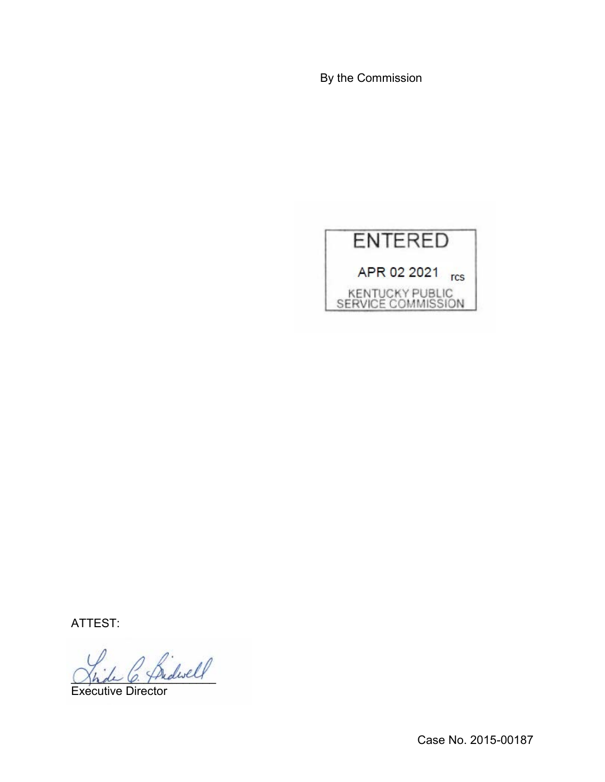By the Commission



ATTEST:

 $^{\prime}$  friderell

Executive Director

Case No. 2015-00187